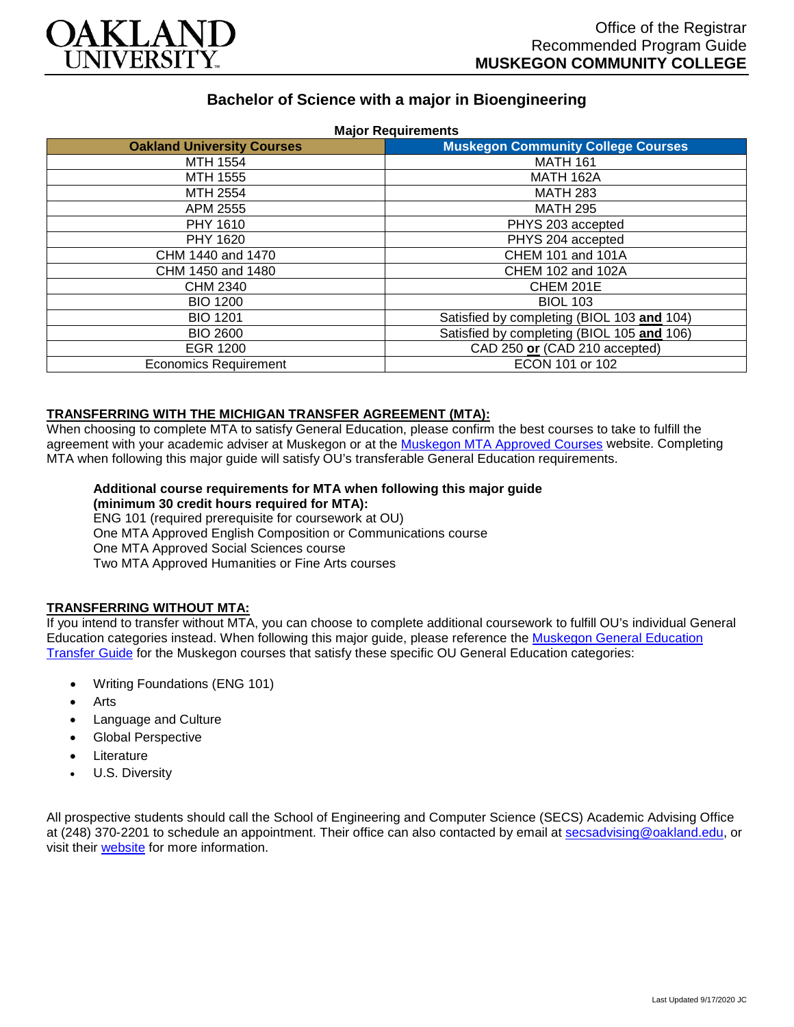

# **Bachelor of Science with a major in Bioengineering**

| <b>Oakland University Courses</b> | <b>Major Requirements</b><br><b>Muskegon Community College Courses</b> |
|-----------------------------------|------------------------------------------------------------------------|
| MTH 1554                          | <b>MATH 161</b>                                                        |
| MTH 1555                          | <b>MATH 162A</b>                                                       |
| MTH 2554                          | <b>MATH 283</b>                                                        |
| APM 2555                          | <b>MATH 295</b>                                                        |
| PHY 1610                          | PHYS 203 accepted                                                      |
| PHY 1620                          | PHYS 204 accepted                                                      |
| CHM 1440 and 1470                 | CHEM 101 and 101A                                                      |
| CHM 1450 and 1480                 | CHEM 102 and 102A                                                      |
| CHM 2340                          | CHEM 201E                                                              |
| <b>BIO 1200</b>                   | <b>BIOL 103</b>                                                        |
| <b>BIO 1201</b>                   | Satisfied by completing (BIOL 103 and 104)                             |
| <b>BIO 2600</b>                   | Satisfied by completing (BIOL 105 and 106)                             |
| EGR 1200                          | CAD 250 or (CAD 210 accepted)                                          |
| <b>Economics Requirement</b>      | ECON 101 or 102                                                        |

### **TRANSFERRING WITH THE MICHIGAN TRANSFER AGREEMENT (MTA):**

When choosing to complete MTA to satisfy General Education, please confirm the best courses to take to fulfill the agreement with your academic adviser at Muskegon or at the [Muskegon MTA Approved Courses](https://www.muskegoncc.edu/transferservices/michigan-transfer-agreement/) website. Completing MTA when following this major guide will satisfy OU's transferable General Education requirements.

#### **Additional course requirements for MTA when following this major guide (minimum 30 credit hours required for MTA):**

ENG 101 (required prerequisite for coursework at OU) One MTA Approved English Composition or Communications course One MTA Approved Social Sciences course Two MTA Approved Humanities or Fine Arts courses

# **TRANSFERRING WITHOUT MTA:**

If you intend to transfer without MTA, you can choose to complete additional coursework to fulfill OU's individual General Education categories instead. When following this major guide, please reference the [Muskegon General Education](https://www.oakland.edu/Assets/Oakland/program-guides/muskegon-community-college/university-general-education-requirements/Muskegon%20Gen%20Ed.pdf)  [Transfer Guide](https://www.oakland.edu/Assets/Oakland/program-guides/muskegon-community-college/university-general-education-requirements/Muskegon%20Gen%20Ed.pdf) for the Muskegon courses that satisfy these specific OU General Education categories:

- Writing Foundations (ENG 101)
- **Arts**
- Language and Culture
- Global Perspective
- **Literature**
- U.S. Diversity

All prospective students should call the School of Engineering and Computer Science (SECS) Academic Advising Office at (248) 370-2201 to schedule an appointment. Their office can also contacted by email at [secsadvising@oakland.edu,](mailto:secsadvising@oakland.edu) or visit their **website** for more information.